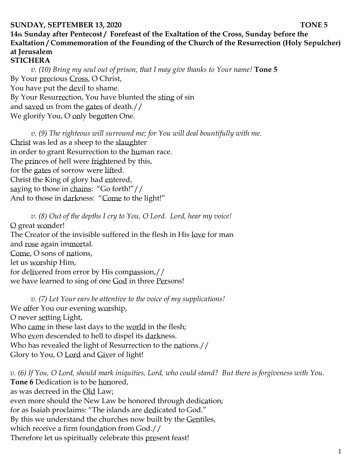#### **SUNDAY, SEPTEMBER 13, 2020 TONE 5**

# **14th Sunday after Pentecost / Forefeast of the Exaltation of the Cross, Sunday before the Exaltation / Commemoration of the Founding of the Church of the Resurrection (Holy Sepulcher) at Jerusalem**

**STICHERA**

*v. (10) Bring my soul out of prison, that I may give thanks to Your name!* **Tone 5** By Your precious Cross, O Christ, You have put the devil to shame. By Your Resurrection, You have blunted the sting of sin and saved us from the gates of death.// We glorify You, O only begotten One.

*v.* (9) The righteous will surround me; for You will deal bountifully with me. Christ was led as a sheep to the slaughter in order to grant Resurrection to the human race. The princes of hell were frightened by this, for the gates of sorrow were lifted. Christ the King of glory had entered, saying to those in chains: "Go forth!"// And to those in darkness: "Come to the light!"

*v. (8) Out of the depths I cry to You, O Lord. Lord, hear my voice!*  O great wonder! The Creator of the invisible suffered in the flesh in His love for man and rose again immortal. Come, O sons of nations, let us worship Him, for delivered from error by His compassion,// we have learned to sing of one God in three Persons!

*v. (7) Let Your ears be attentive to the voice of my supplications!* We offer You our evening worship, O never setting Light, Who came in these last days to the world in the flesh; Who even descended to hell to dispel its darkness. Who has revealed the light of Resurrection to the nations.// Glory to You, O Lord and Giver of light!

*v. (6) If You, O Lord, should mark iniquities, Lord, who could stand? But there is forgiveness with You.*  **Tone 6** Dedication is to be honored, as was decreed in the Old Law; even more should the New Law be honored through dedication; for as Isaiah proclaims: "The islands are dedicated to God." By this we understand the churches now built by the Gentiles, which receive a firm foundation from God.// Therefore let us spiritually celebrate this present feast!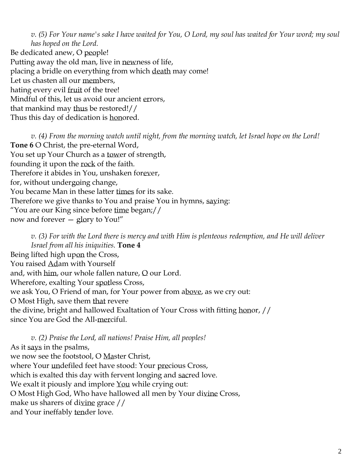*v. (5) For Your name's sake I have waited for You, O Lord, my soul has waited for Your word; my soul has hoped on the Lord.* 

Be dedicated anew, O people! Putting away the old man, live in newness of life, placing a bridle on everything from which death may come! Let us chasten all our members, hating every evil fruit of the tree! Mindful of this, let us avoid our ancient errors, that mankind may thus be restored!// Thus this day of dedication is honored.

*v. (4) From the morning watch until night, from the morning watch, let Israel hope on the Lord!*  **Tone 6** O Christ, the pre-eternal Word, You set up Your Church as a tower of strength, founding it upon the rock of the faith. Therefore it abides in You, unshaken forever, for, without undergoing change, You became Man in these latter times for its sake. Therefore we give thanks to You and praise You in hymns, saying: "You are our King since before time began;// now and forever — glory to You!"

*v. (3) For with the Lord there is mercy and with Him is plenteous redemption, and He will deliver Israel from all his iniquities.* **Tone 4** Being lifted high upon the Cross, You raised Adam with Yourself and, with him, our whole fallen nature,  $Q$  our Lord. Wherefore, exalting Your spotless Cross, we ask You, O Friend of man, for Your power from above, as we cry out: O Most High, save them that revere the divine, bright and hallowed Exaltation of Your Cross with fitting honor, // since You are God the All-merciful.

*v. (2) Praise the Lord, all nations! Praise Him, all peoples!* As it says in the psalms, we now see the footstool, O Master Christ, where Your undefiled feet have stood: Your precious Cross, which is exalted this day with fervent longing and sacred love. We exalt it piously and implore You while crying out: O Most High God, Who have hallowed all men by Your divine Cross, make us sharers of divine grace // and Your ineffably tender love.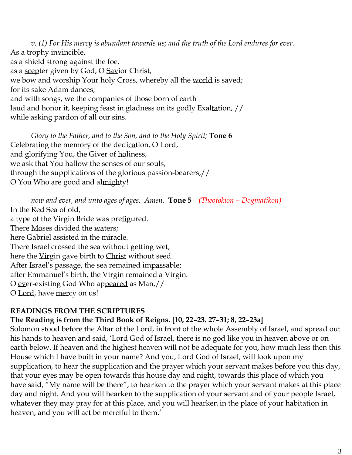*v. (1) For His mercy is abundant towards us; and the truth of the Lord endures for ever.*  As a trophy invincible, as a shield strong against the foe, as a scepter given by God, O Savior Christ, we bow and worship Your holy Cross, whereby all the world is saved; for its sake Adam dances; and with songs, we the companies of those born of earth laud and honor it, keeping feast in gladness on its godly Exaltation, // while asking pardon of all our sins.

*Glory to the Father, and to the Son, and to the Holy Spirit;* **Tone 6** Celebrating the memory of the dedication, O Lord, and glorifying You, the Giver of holiness, we ask that You hallow the senses of our souls, through the supplications of the glorious passion-bearers,// O You Who are good and almighty!

*now and ever, and unto ages of ages. Amen.* **Tone 5** *(Theotokion – Dogmatikon)* In the Red Sea of old, a type of the Virgin Bride was prefigured. There Moses divided the waters; here Gabriel assisted in the miracle. There Israel crossed the sea without getting wet, here the Virgin gave birth to Christ without seed. After Israel's passage, the sea remained impassable; after Emmanuel's birth, the Virgin remained a Virgin. O ever-existing God Who appeared as Man,// O Lord, have mercy on us!

## **READINGS FROM THE SCRIPTURES**

## **The Reading is from the Third Book of Reigns. [10, 22–23. 27–31; 8, 22–23a]**

Solomon stood before the Altar of the Lord, in front of the whole Assembly of Israel, and spread out his hands to heaven and said, 'Lord God of Israel, there is no god like you in heaven above or on earth below. If heaven and the highest heaven will not be adequate for you, how much less then this House which I have built in your name? And you, Lord God of Israel, will look upon my supplication, to hear the supplication and the prayer which your servant makes before you this day, that your eyes may be open towards this house day and night, towards this place of which you have said, "My name will be there", to hearken to the prayer which your servant makes at this place day and night. And you will hearken to the supplication of your servant and of your people Israel, whatever they may pray for at this place, and you will hearken in the place of your habitation in heaven, and you will act be merciful to them.'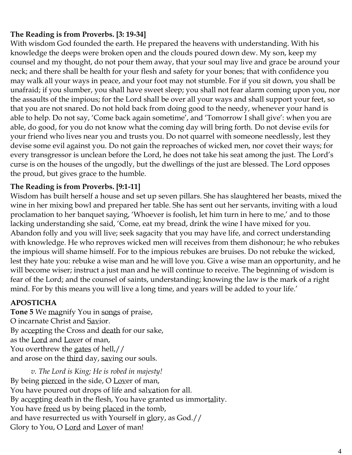# **The Reading is from Proverbs. [3: 19-34]**

With wisdom God founded the earth. He prepared the heavens with understanding. With his knowledge the deeps were broken open and the clouds poured down dew. My son, keep my counsel and my thought, do not pour them away, that your soul may live and grace be around your neck; and there shall be health for your flesh and safety for your bones; that with confidence you may walk all your ways in peace, and your foot may not stumble. For if you sit down, you shall be unafraid; if you slumber, you shall have sweet sleep; you shall not fear alarm coming upon you, nor the assaults of the impious; for the Lord shall be over all your ways and shall support your feet, so that you are not snared. Do not hold back from doing good to the needy, whenever your hand is able to help. Do not say, 'Come back again sometime', and 'Tomorrow I shall give': when you are able, do good, for you do not know what the coming day will bring forth. Do not devise evils for your friend who lives near you and trusts you. Do not quarrel with someone needlessly, lest they devise some evil against you. Do not gain the reproaches of wicked men, nor covet their ways; for every transgressor is unclean before the Lord, he does not take his seat among the just. The Lord's curse is on the houses of the ungodly, but the dwellings of the just are blessed. The Lord opposes the proud, but gives grace to the humble.

## **The Reading is from Proverbs. [9:1-11]**

Wisdom has built herself a house and set up seven pillars. She has slaughtered her beasts, mixed the wine in her mixing bowl and prepared her table. She has sent out her servants, inviting with a loud proclamation to her banquet saying, 'Whoever is foolish, let him turn in here to me,' and to those lacking understanding she said, 'Come, eat my bread, drink the wine I have mixed for you. Abandon folly and you will live; seek sagacity that you may have life, and correct understanding with knowledge. He who reproves wicked men will receives from them dishonour; he who rebukes the impious will shame himself. For to the impious rebukes are bruises. Do not rebuke the wicked, lest they hate you: rebuke a wise man and he will love you. Give a wise man an opportunity, and he will become wiser; instruct a just man and he will continue to receive. The beginning of wisdom is fear of the Lord; and the counsel of saints, understanding; knowing the law is the mark of a right mind. For by this means you will live a long time, and years will be added to your life.'

## **APOSTICHA**

**Tone 5** We magnify You in songs of praise, O incarnate Christ and Savior. By accepting the Cross and death for our sake, as the Lord and Lover of man, You overthrew the gates of hell,// and arose on the third day, saving our souls.

*v. The Lord is King; He is robed in majesty!*  By being pierced in the side, O Lover of man, You have poured out drops of life and salvation for all. By accepting death in the flesh, You have granted us immortality. You have freed us by being placed in the tomb, and have resurrected us with Yourself in glory, as God.// Glory to You, O Lord and Lover of man!